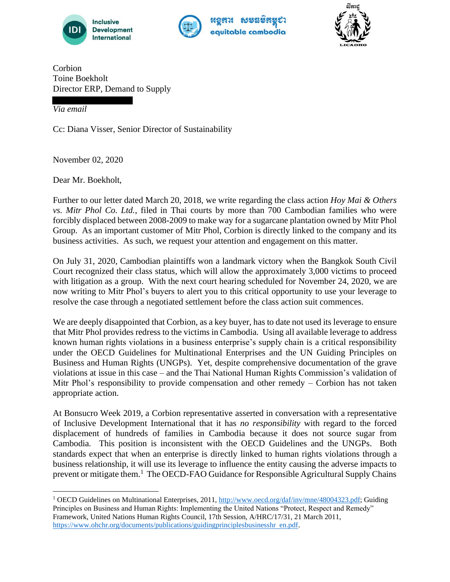





Corbion Toine Boekholt Director ERP, Demand to Supply

*Via email*

Cc: Diana Visser, Senior Director of Sustainability

November 02, 2020

Dear Mr. Boekholt,

Further to our letter dated March 20, 2018, we write regarding the class action *Hoy Mai & Others vs. Mitr Phol Co. Ltd.*, filed in Thai courts by more than 700 Cambodian families who were forcibly displaced between 2008-2009 to make way for a sugarcane plantation owned by Mitr Phol Group. As an important customer of Mitr Phol, Corbion is directly linked to the company and its business activities. As such, we request your attention and engagement on this matter.

On July 31, 2020, Cambodian plaintiffs won a landmark victory when the Bangkok South Civil Court recognized their class status, which will allow the approximately 3,000 victims to proceed with litigation as a group. With the next court hearing scheduled for November 24, 2020, we are now writing to Mitr Phol's buyers to alert you to this critical opportunity to use your leverage to resolve the case through a negotiated settlement before the class action suit commences.

We are deeply disappointed that Corbion, as a key buyer, has to date not used its leverage to ensure that Mitr Phol provides redress to the victims in Cambodia. Using all available leverage to address known human rights violations in a business enterprise's supply chain is a critical responsibility under the OECD Guidelines for Multinational Enterprises and the UN Guiding Principles on Business and Human Rights (UNGPs). Yet, despite comprehensive documentation of the grave violations at issue in this case – and the Thai National Human Rights Commission's validation of Mitr Phol's responsibility to provide compensation and other remedy – Corbion has not taken appropriate action.

At Bonsucro Week 2019, a Corbion representative asserted in conversation with a representative of Inclusive Development International that it has *no responsibility* with regard to the forced displacement of hundreds of families in Cambodia because it does not source sugar from Cambodia. This position is inconsistent with the OECD Guidelines and the UNGPs. Both standards expect that when an enterprise is directly linked to human rights violations through a business relationship, it will use its leverage to influence the entity causing the adverse impacts to prevent or mitigate them.<sup>1</sup> The OECD-FAO Guidance for Responsible Agricultural Supply Chains

<sup>&</sup>lt;sup>1</sup> OECD Guidelines on Multinational Enterprises, 2011, http://www.oecd.org/daf/inv/mne/48004323.pdf; Guiding Principles on Business and Human Rights: Implementing the United Nations "Protect, Respect and Remedy" Framework, United Nations Human Rights Council, 17th Session, A/HRC/17/31, 21 March 2011, https://www.ohchr.org/documents/publications/guidingprinciplesbusinesshr en.pdf.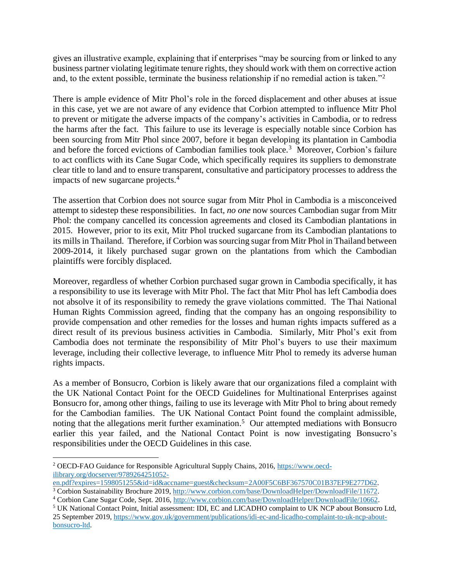gives an illustrative example, explaining that if enterprises "may be sourcing from or linked to any business partner violating legitimate tenure rights, they should work with them on corrective action and, to the extent possible, terminate the business relationship if no remedial action is taken."<sup>2</sup>

There is ample evidence of Mitr Phol's role in the forced displacement and other abuses at issue in this case, yet we are not aware of any evidence that Corbion attempted to influence Mitr Phol to prevent or mitigate the adverse impacts of the company's activities in Cambodia, or to redress the harms after the fact. This failure to use its leverage is especially notable since Corbion has been sourcing from Mitr Phol since 2007, before it began developing its plantation in Cambodia and before the forced evictions of Cambodian families took place.<sup>3</sup> Moreover, Corbion's failure to act conflicts with its Cane Sugar Code, which specifically requires its suppliers to demonstrate clear title to land and to ensure transparent, consultative and participatory processes to address the impacts of new sugarcane projects.<sup>4</sup>

The assertion that Corbion does not source sugar from Mitr Phol in Cambodia is a misconceived attempt to sidestep these responsibilities. In fact, *no one* now sources Cambodian sugar from Mitr Phol: the company cancelled its concession agreements and closed its Cambodian plantations in 2015. However, prior to its exit, Mitr Phol trucked sugarcane from its Cambodian plantations to its mills in Thailand. Therefore, if Corbion was sourcing sugar from Mitr Phol in Thailand between 2009-2014, it likely purchased sugar grown on the plantations from which the Cambodian plaintiffs were forcibly displaced.

Moreover, regardless of whether Corbion purchased sugar grown in Cambodia specifically, it has a responsibility to use its leverage with Mitr Phol. The fact that Mitr Phol has left Cambodia does not absolve it of its responsibility to remedy the grave violations committed. The Thai National Human Rights Commission agreed, finding that the company has an ongoing responsibility to provide compensation and other remedies for the losses and human rights impacts suffered as a direct result of its previous business activities in Cambodia. Similarly, Mitr Phol's exit from Cambodia does not terminate the responsibility of Mitr Phol's buyers to use their maximum leverage, including their collective leverage, to influence Mitr Phol to remedy its adverse human rights impacts.

As a member of Bonsucro, Corbion is likely aware that our organizations filed a complaint with the UK National Contact Point for the OECD Guidelines for Multinational Enterprises against Bonsucro for, among other things, failing to use its leverage with Mitr Phol to bring about remedy for the Cambodian families. The UK National Contact Point found the complaint admissible, noting that the allegations merit further examination.<sup>5</sup> Our attempted mediations with Bonsucro earlier this year failed, and the National Contact Point is now investigating Bonsucro's responsibilities under the OECD Guidelines in this case.

<sup>2</sup> OECD-FAO Guidance for Responsible Agricultural Supply Chains, 2016, https://www.oecdilibrary.org/docserver/9789264251052-

en.pdf?expires=1598051255&id=id&accname=guest&checksum=2A00F5C6BF367570C01B37EF9E277D62.

<sup>&</sup>lt;sup>3</sup> Corbion Sustainability Brochure 2019, http://www.corbion.com/base/DownloadHelper/DownloadFile/11672. <sup>4</sup> Corbion Cane Sugar Code, Sept. 2016, http://www.corbion.com/base/DownloadHelper/DownloadFile/10662.

<sup>5</sup> UK National Contact Point, Initial assessment: IDI, EC and LICADHO complaint to UK NCP about Bonsucro Ltd,

<sup>25</sup> September 2019, https://www.gov.uk/government/publications/idi-ec-and-licadho-complaint-to-uk-ncp-aboutbonsucro-ltd.